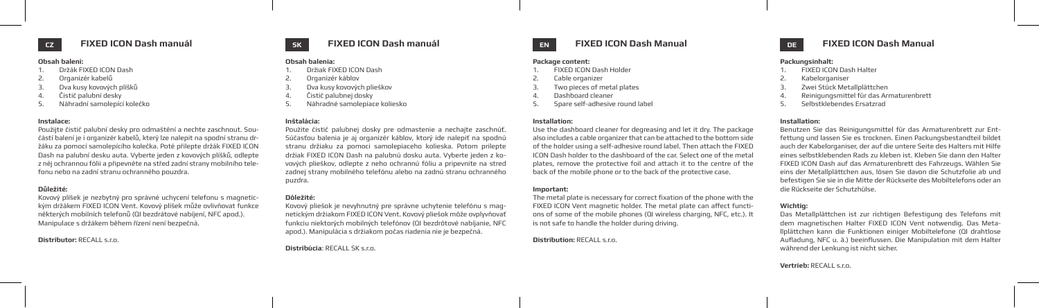# **Obsah balení:**

- 1. Držák FIXED ICON Dash
- 2. Organizér kabelů
- 3. Dva kusy kovových plíšků
- 4. Čistič palubní desky
- 5. Náhradní samolepící kolečko

# **Instalace:**

Použijte čistič palubní desky pro odmaštění a nechte zaschnout. Součástí balení je i organizér kabelů, který lze nalepit na spodní stranu držáku za pomocí samolepícího kolečka. Poté přilepte držák FIXED ICON Dash na palubní desku auta. Vyberte jeden z kovových plíšků, odlepte z něj ochrannou fólii a připevněte na střed zadní strany mobilního telefonu nebo na zadní stranu ochranného pouzdra.

# **Důležité:**

Kovový plíšek je nezbytný pro správné uchycení telefonu s magnetickým držákem FIXED ICON Vent. Kovový plíšek může ovlivňovat funkce některých mobilních telefonů (QI bezdrátové nabíjení, NFC apod.). Manipulace s držákem během řízení není bezpečná.

**Distributor:** RECALL s.r.o.

### **FIXED ICON Dash manuál EN SK DE FIXED ICON Dash Manual CZ FIXED ICON Dash manuál**

## **Obsah balenia:**

- 1. Držiak FIXED ICON Dash
- 2. Organizér káblov
- 3. Dva kusy kovových plieškov
- 4. Čistič palubnej dosky
- 5. Náhradné samolepiace koliesko

# **Inštalácia:**

Použite čistič palubnej dosky pre odmastenie a nechajte zaschnúť. Súčasťou balenia je aj organizér káblov, ktorý ide nalepiť na spodnú stranu držiaku za pomoci samolepiaceho kolieska. Potom prilepte držiak FIXED ICON Dash na palubnú dosku auta. Vyberte jeden z kovových plieškov, odlepte z neho ochrannú fóliu a pripevnite na stred zadnej strany mobilného telefónu alebo na zadnú stranu ochranného puzdra.

# **Dôležité:**

Kovový pliešok je nevyhnutný pre správne uchytenie telefónu s magnetickým držiakom FIXED ICON Vent. Kovový pliešok môže ovplyvňovať funkciu niektorých mobilných telefónov (QI bezdrôtové nabíjanie, NFC apod.). Manipulácia s držiakom počas riadenia nie je bezpečná.



# **FIXED ICON Dash Manual**

## **Package content:**

- 1. FIXED ICON Dash Holder
- 2. Cable organizer
- Two pieces of metal plates
- 4. Dashboard cleaner
- 5. Spare self-adhesive round label

# **Installation:**

Use the dashboard cleaner for degreasing and let it dry. The package also includes a cable organizer that can be attached to the bottom side of the holder using a self-adhesive round label. Then attach the FIXED ICON Dash holder to the dashboard of the car. Select one of the metal plates, remove the protective foil and attach it to the centre of the back of the mobile phone or to the back of the protective case.

## **Important:**

The metal plate is necessary for correct fixation of the phone with the FIXED ICON Vent magnetic holder. The metal plate can affect functions of some of the mobile phones (QI wireless charging, NFC, etc.). It is not safe to handle the holder during driving.

# **Distribution:** RECALL s.r.o.

## **Packungsinhalt:**

- 1. FIXED ICON Dash Halter
- 2. Kabelorganiser
- 3. Zwei Stück Metallplättchen
- 4. Reinigungsmittel für das Armaturenbrett
- 5. Selbstklebendes Ersatzrad

# **Installation:**

Benutzen Sie das Reinigungsmittel für das Armaturenbrett zur Entfettung und lassen Sie es trocknen. Einen Packungsbestandteil bildet auch der Kabelorganiser, der auf die untere Seite des Halters mit Hilfe eines selbstklebenden Rads zu kleben ist. Kleben Sie dann den Halter FIXED ICON Dash auf das Armaturenbrett des Fahrzeugs. Wählen Sie eins der Metallplättchen aus, lösen Sie davon die Schutzfolie ab und befestigen Sie sie in die Mitte der Rückseite des Mobiltelefons oder an die Rückseite der Schutzhülse.

# **Wichtig:**

Das Metallplättchen ist zur richtigen Befestigung des Telefons mit dem magnetischen Halter FIXED ICON Vent notwendig. Das Metallplättchen kann die Funktionen einiger Mobiltelefone (QI drahtlose Aufladung, NFC u. ä.) beeinflussen. Die Manipulation mit dem Halter während der Lenkung ist nicht sicher.

# **Vertrieb:** RECALL s.r.o.

**Distribúcia**: RECALL SK s.r.o.